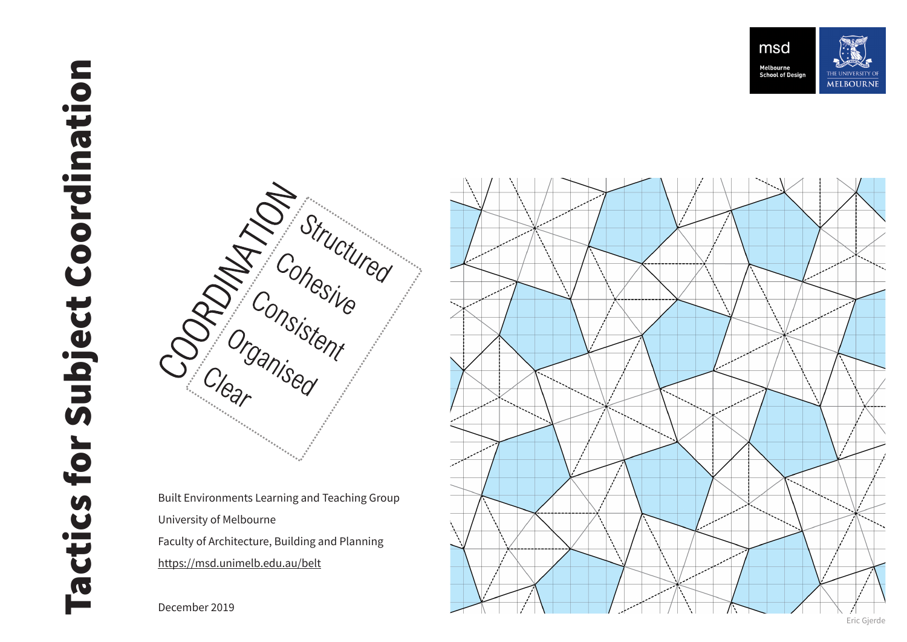



Built Environments Learning and Teaching Group University of Melbourne Faculty of Architecture, Building and Planning  $\vee$ https://msd.unimelb.edu.au/belt

December 2019

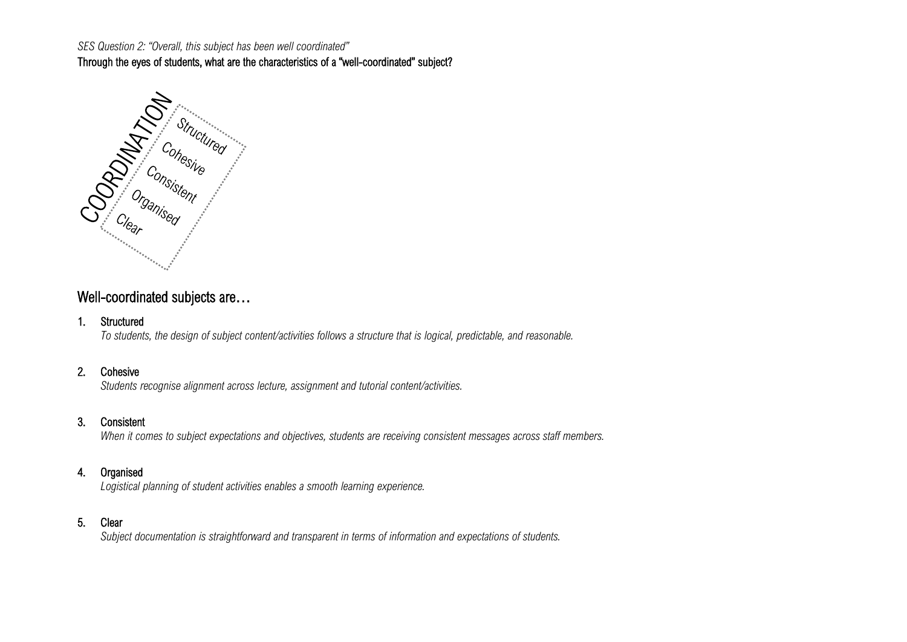Through the eyes of students, what are the characteristics of a "well-coordinated" subject?



## Well-coordinated subjects are...

#### 1. Structured

*To students, the design of subject content/activities follows a structure that is logical, predictable, and reasonable.*

#### 2. Cohesive

*Students recognise alignment across lecture, assignment and tutorial content/activities.*

#### 3. Consistent

*When it comes to subject expectations and objectives, students are receiving consistent messages across staff members.*

### 4. Organised

*Logistical planning of student activities enables a smooth learning experience.*

#### 5. Clear

*Subject documentation is straightforward and transparent in terms of information and expectations of students.*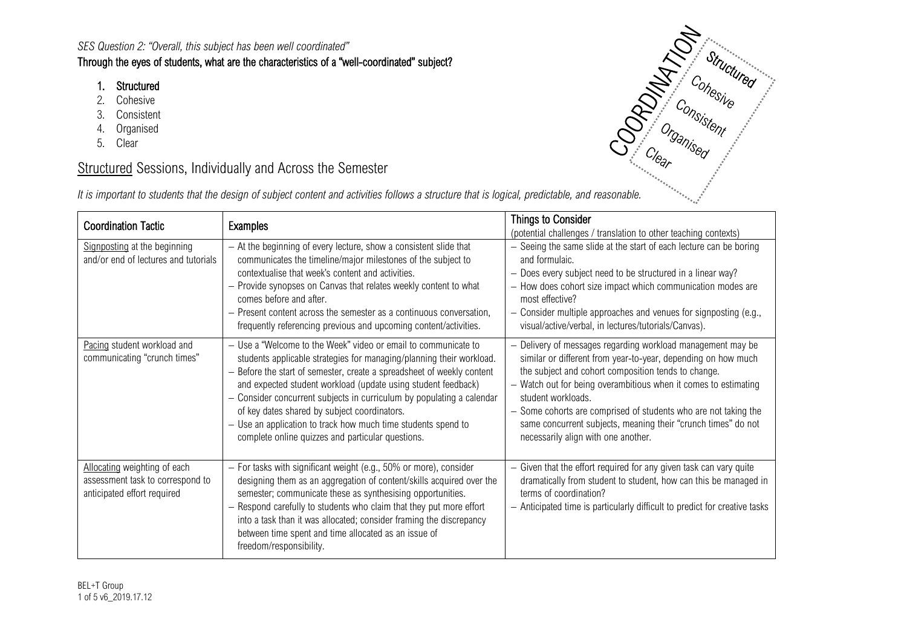### Through the eyes of students, what are the characteristics of a "well-coordinated" subject?

- 1. Structured
- 2. Cohesive
- 3. Consistent
- 4. Organised
- 5. Clear

# **Structured Sessions, Individually and Across the Semester**

|  | It is important to students that the design of subject content and activities follows a structure that is logical, predictable, and reasonable. |  |
|--|-------------------------------------------------------------------------------------------------------------------------------------------------|--|
|  |                                                                                                                                                 |  |

| <b>Coordination Tactic</b>                                                                      | <b>Examples</b>                                                                                                                                                                                                                                                                                                                                                                                                                                                                                                                  | <b>Things to Consider</b><br>(potential challenges / translation to other teaching contexts)                                                                                                                                                                                                                                                                                                                                                            |
|-------------------------------------------------------------------------------------------------|----------------------------------------------------------------------------------------------------------------------------------------------------------------------------------------------------------------------------------------------------------------------------------------------------------------------------------------------------------------------------------------------------------------------------------------------------------------------------------------------------------------------------------|---------------------------------------------------------------------------------------------------------------------------------------------------------------------------------------------------------------------------------------------------------------------------------------------------------------------------------------------------------------------------------------------------------------------------------------------------------|
| Signposting at the beginning<br>and/or end of lectures and tutorials                            | - At the beginning of every lecture, show a consistent slide that<br>communicates the timeline/major milestones of the subject to<br>contextualise that week's content and activities.<br>- Provide synopses on Canvas that relates weekly content to what<br>comes before and after.<br>- Present content across the semester as a continuous conversation,<br>frequently referencing previous and upcoming content/activities.                                                                                                 | - Seeing the same slide at the start of each lecture can be boring<br>and formulaic.<br>- Does every subject need to be structured in a linear way?<br>- How does cohort size impact which communication modes are<br>most effective?<br>$-$ Consider multiple approaches and venues for signposting (e.g.,<br>visual/active/verbal, in lectures/tutorials/Canvas).                                                                                     |
| Pacing student workload and<br>communicating "crunch times"                                     | - Use a "Welcome to the Week" video or email to communicate to<br>students applicable strategies for managing/planning their workload.<br>- Before the start of semester, create a spreadsheet of weekly content<br>and expected student workload (update using student feedback)<br>- Consider concurrent subjects in curriculum by populating a calendar<br>of key dates shared by subject coordinators.<br>- Use an application to track how much time students spend to<br>complete online quizzes and particular questions. | - Delivery of messages regarding workload management may be<br>similar or different from year-to-year, depending on how much<br>the subject and cohort composition tends to change.<br>- Watch out for being overambitious when it comes to estimating<br>student workloads.<br>- Some cohorts are comprised of students who are not taking the<br>same concurrent subjects, meaning their "crunch times" do not<br>necessarily align with one another. |
| Allocating weighting of each<br>assessment task to correspond to<br>anticipated effort required | - For tasks with significant weight (e.g., 50% or more), consider<br>designing them as an aggregation of content/skills acquired over the<br>semester; communicate these as synthesising opportunities.<br>- Respond carefully to students who claim that they put more effort<br>into a task than it was allocated; consider framing the discrepancy<br>between time spent and time allocated as an issue of<br>freedom/responsibility.                                                                                         | - Given that the effort required for any given task can vary quite<br>dramatically from student to student, how can this be managed in<br>terms of coordination?<br>- Anticipated time is particularly difficult to predict for creative tasks                                                                                                                                                                                                          |

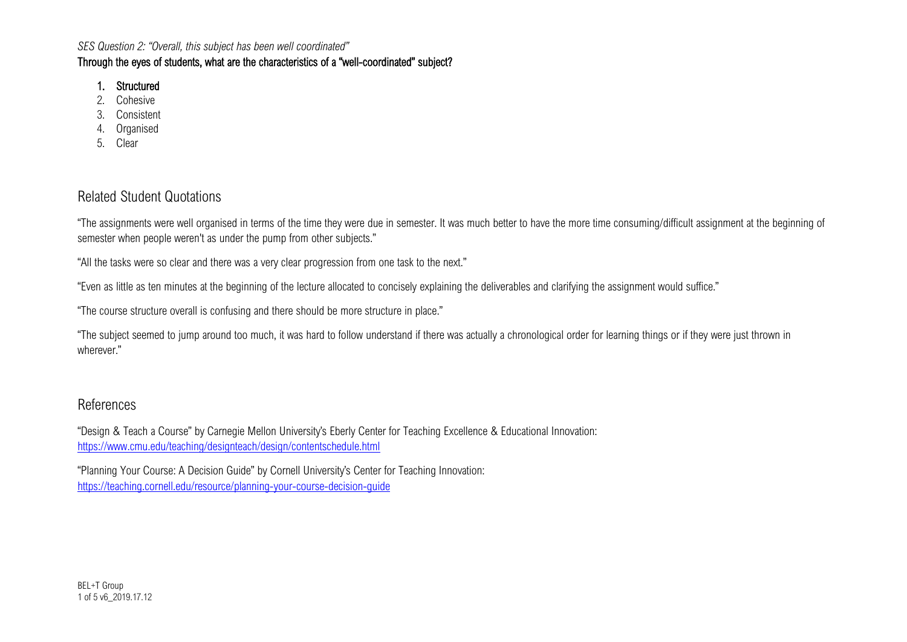### Through the eyes of students, what are the characteristics of a "well-coordinated" subject?

### 1. Structured

- 2. Cohesive
- 3. Consistent
- 4. Organised
- 5. Clear

# Related Student Quotations

"The assignments were well organised in terms of the time they were due in semester. It was much better to have the more time consuming/difficult assignment at the beginning of semester when people weren't as under the pump from other subjects."

"All the tasks were so clear and there was a very clear progression from one task to the next."

"Even as little as ten minutes at the beginning of the lecture allocated to concisely explaining the deliverables and clarifying the assignment would suffice."

"The course structure overall is confusing and there should be more structure in place."

"The subject seemed to jump around too much, it was hard to follow understand if there was actually a chronological order for learning things or if they were just thrown in wherever."

## References

"Design & Teach a Course" by Carnegie Mellon University's Eberly Center for Teaching Excellence & Educational Innovation: <https://www.cmu.edu/teaching/designteach/design/contentschedule.html>

"Planning Your Course: A Decision Guide" by Cornell University's Center for Teaching Innovation: https://teaching.cornell.edu/resource/planning-your-course-decision-quide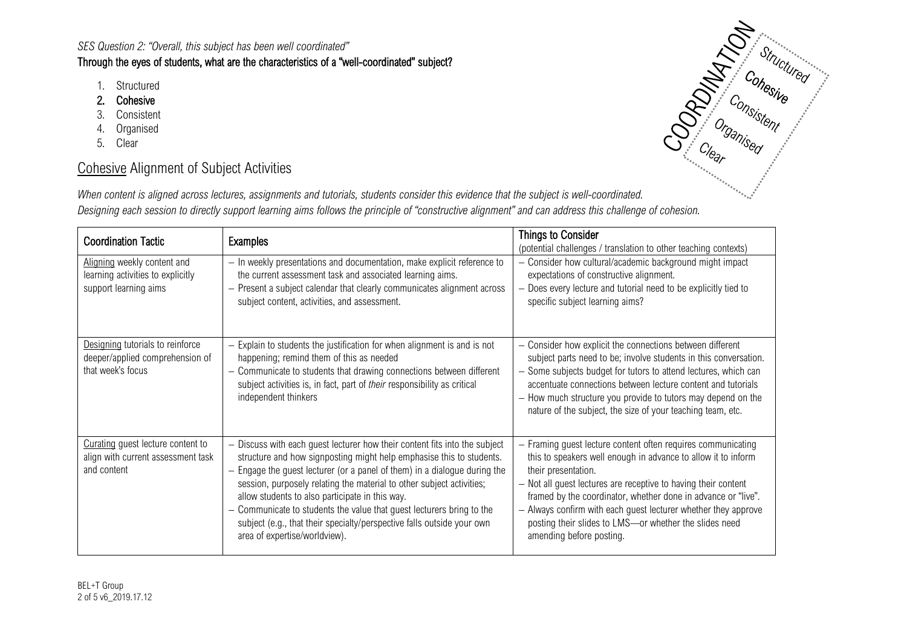### Through the eyes of students, what are the characteristics of a "well-coordinated" subject?

- 1. Structured
- 2. Cohesive
- 3. Consistent
- 4. Organised
- 5. Clear

# Cohesive Alignment of Subject Activities

*When content is aligned across lectures, assignments and tutorials, students consider this evidence that the subject is well-coordinated. Designing each session to directly support learning aims follows the principle of "constructive alignment" and can address this challenge of cohesion.*

| <b>Coordination Tactic</b>                                                                | <b>Examples</b>                                                                                                                                                                                                                                                                                                                                                                                                                                                                                                                                                         | <b>Things to Consider</b><br>(potential challenges / translation to other teaching contexts)                                                                                                                                                                                                                                                                                                                                                  |
|-------------------------------------------------------------------------------------------|-------------------------------------------------------------------------------------------------------------------------------------------------------------------------------------------------------------------------------------------------------------------------------------------------------------------------------------------------------------------------------------------------------------------------------------------------------------------------------------------------------------------------------------------------------------------------|-----------------------------------------------------------------------------------------------------------------------------------------------------------------------------------------------------------------------------------------------------------------------------------------------------------------------------------------------------------------------------------------------------------------------------------------------|
| Aligning weekly content and<br>learning activities to explicitly<br>support learning aims | - In weekly presentations and documentation, make explicit reference to<br>the current assessment task and associated learning aims.<br>Present a subject calendar that clearly communicates alignment across<br>subject content, activities, and assessment.                                                                                                                                                                                                                                                                                                           | Consider how cultural/academic background might impact<br>expectations of constructive alignment.<br>Does every lecture and tutorial need to be explicitly tied to<br>specific subject learning aims?                                                                                                                                                                                                                                         |
| Designing tutorials to reinforce<br>deeper/applied comprehension of<br>that week's focus  | - Explain to students the justification for when alignment is and is not<br>happening; remind them of this as needed<br>Communicate to students that drawing connections between different<br>—<br>subject activities is, in fact, part of their responsibility as critical<br>independent thinkers                                                                                                                                                                                                                                                                     | - Consider how explicit the connections between different<br>subject parts need to be; involve students in this conversation.<br>- Some subjects budget for tutors to attend lectures, which can<br>accentuate connections between lecture content and tutorials<br>- How much structure you provide to tutors may depend on the<br>nature of the subject, the size of your teaching team, etc.                                               |
| Curating guest lecture content to<br>align with current assessment task<br>and content    | Discuss with each guest lecturer how their content fits into the subject<br>structure and how signposting might help emphasise this to students.<br>Engage the guest lecturer (or a panel of them) in a dialogue during the<br>$\overline{\phantom{0}}$<br>session, purposely relating the material to other subject activities;<br>allow students to also participate in this way.<br>- Communicate to students the value that guest lecturers bring to the<br>subject (e.g., that their specialty/perspective falls outside your own<br>area of expertise/worldview). | Framing guest lecture content often requires communicating<br>this to speakers well enough in advance to allow it to inform<br>their presentation.<br>- Not all guest lectures are receptive to having their content<br>framed by the coordinator, whether done in advance or "live".<br>- Always confirm with each guest lecturer whether they approve<br>posting their slides to LMS-or whether the slides need<br>amending before posting. |

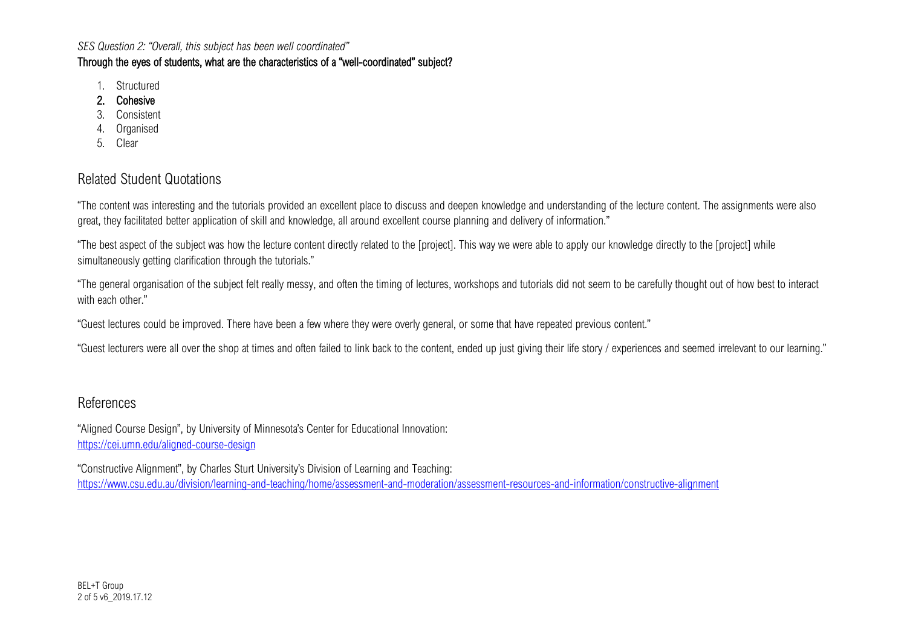## Through the eyes of students, what are the characteristics of a "well-coordinated" subject?

- 1. Structured
- 2. Cohesive
- 3. Consistent
- 4. Organised
- 5. Clear

## Related Student Quotations

"The content was interesting and the tutorials provided an excellent place to discuss and deepen knowledge and understanding of the lecture content. The assignments were also great, they facilitated better application of skill and knowledge, all around excellent course planning and delivery of information."

"The best aspect of the subject was how the lecture content directly related to the [project]. This way we were able to apply our knowledge directly to the [project] while simultaneously getting clarification through the tutorials."

"The general organisation of the subject felt really messy, and often the timing of lectures, workshops and tutorials did not seem to be carefully thought out of how best to interact with each other."

"Guest lectures could be improved. There have been a few where they were overly general, or some that have repeated previous content."

"Guest lecturers were all over the shop at times and often failed to link back to the content, ended up just giving their life story / experiences and seemed irrelevant to our learning."

## References

"Aligned Course Design", by University of Minnesota's Center for Educational Innovation: <https://cei.umn.edu/aligned-course-design>

"Constructive Alignment", by Charles Sturt University's Division of Learning and Teaching: <https://www.csu.edu.au/division/learning-and-teaching/home/assessment-and-moderation/assessment-resources-and-information/constructive-alignment>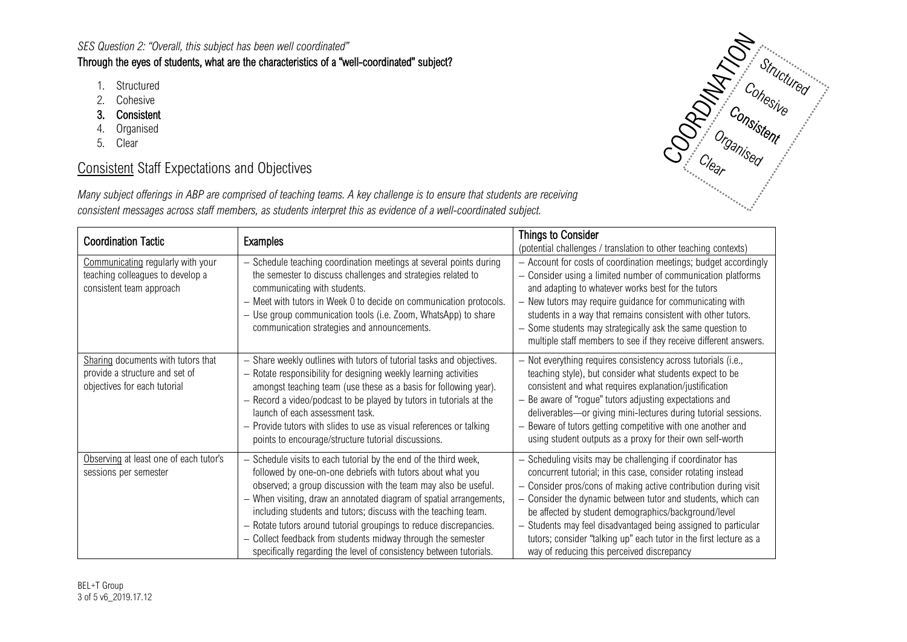### Through the eyes of students, what are the characteristics of a "well-coordinated" subject?

- 1. Structured
- 2. Cohesive
- 3. Consistent
- 4. Organised
- 5. Clear

# Consistent Staff Expectations and Objectives





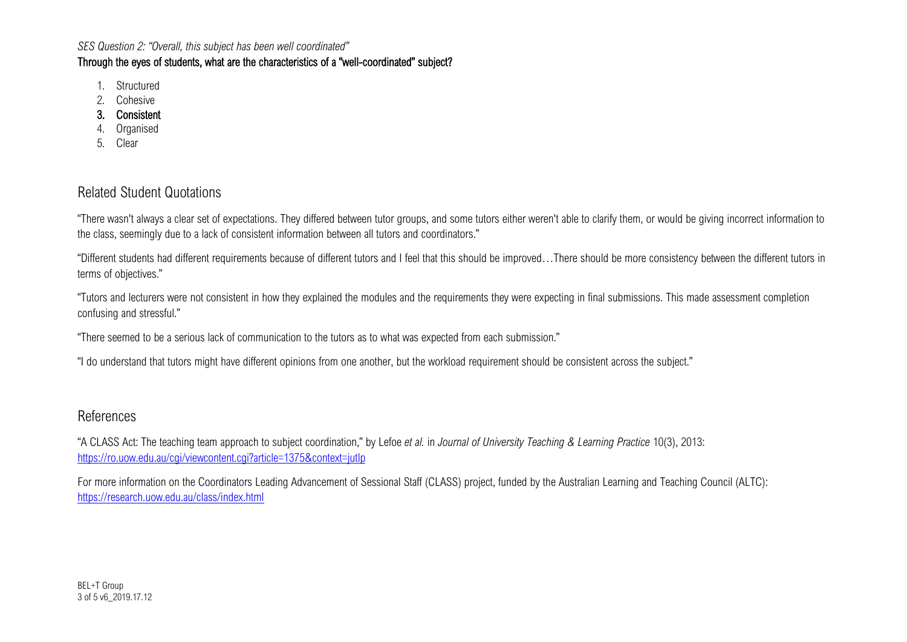### Through the eyes of students, what are the characteristics of a "well-coordinated" subject?

- 1. Structured
- 2. Cohesive
- 3. Consistent
- 4. Organised
- 5. Clear

# Related Student Quotations

"There wasn't always a clear set of expectations. They differed between tutor groups, and some tutors either weren't able to clarify them, or would be giving incorrect information to the class, seemingly due to a lack of consistent information between all tutors and coordinators."

"Different students had different requirements because of different tutors and I feel that this should be improved…There should be more consistency between the different tutors in terms of objectives."

"Tutors and lecturers were not consistent in how they explained the modules and the requirements they were expecting in final submissions. This made assessment completion confusing and stressful."

"There seemed to be a serious lack of communication to the tutors as to what was expected from each submission."

"I do understand that tutors might have different opinions from one another, but the workload requirement should be consistent across the subject."

# References

"A CLASS Act: The teaching team approach to subject coordination," by Lefoe *et al.* in *Journal of University Teaching & Learning Practice* 10(3), 2013: <https://ro.uow.edu.au/cgi/viewcontent.cgi?article=1375&context=jutlp>

For more information on the Coordinators Leading Advancement of Sessional Staff (CLASS) project, funded by the Australian Learning and Teaching Council (ALTC): <https://research.uow.edu.au/class/index.html>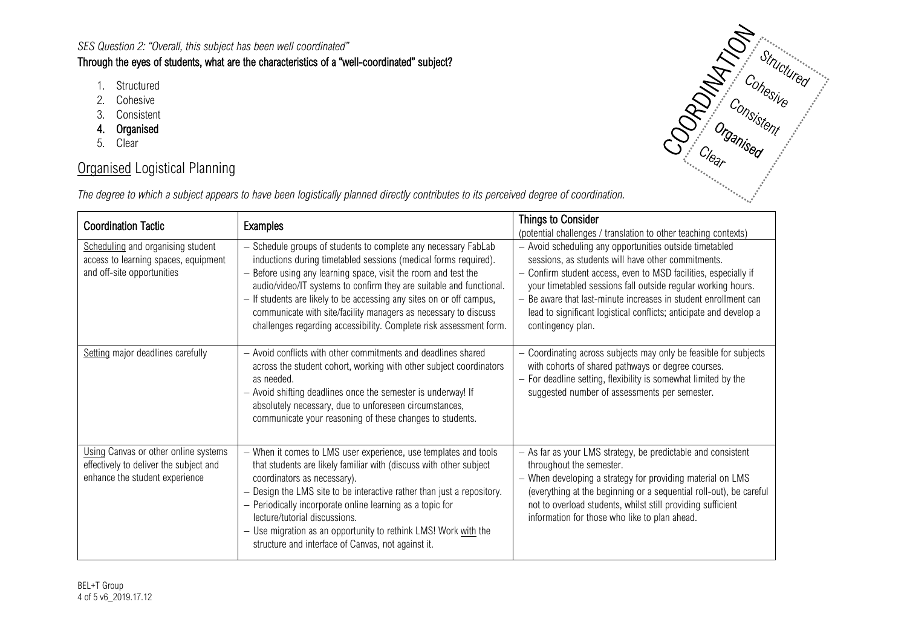## Through the eyes of students, what are the characteristics of a "well-coordinated" subject?

- 1. Structured
- 2. Cohesive
- 3. Consistent
- 4. Organised
- 5. Clear

# **Organised Logistical Planning**



|  | The degree to which a subject appears to have been logistically planned directly contributes to its perceived degree of coordination. |  |  |  |
|--|---------------------------------------------------------------------------------------------------------------------------------------|--|--|--|
|--|---------------------------------------------------------------------------------------------------------------------------------------|--|--|--|

| <b>Coordination Tactic</b>                                                                                       | Examples                                                                                                                                                                                                                                                                                                                                                                                                                                                                                    | Things to Consider<br>(potential challenges / translation to other teaching contexts)                                                                                                                                                                                                                                                                                                                        |
|------------------------------------------------------------------------------------------------------------------|---------------------------------------------------------------------------------------------------------------------------------------------------------------------------------------------------------------------------------------------------------------------------------------------------------------------------------------------------------------------------------------------------------------------------------------------------------------------------------------------|--------------------------------------------------------------------------------------------------------------------------------------------------------------------------------------------------------------------------------------------------------------------------------------------------------------------------------------------------------------------------------------------------------------|
| Scheduling and organising student<br>access to learning spaces, equipment<br>and off-site opportunities          | - Schedule groups of students to complete any necessary FabLab<br>inductions during timetabled sessions (medical forms required).<br>- Before using any learning space, visit the room and test the<br>audio/video/IT systems to confirm they are suitable and functional.<br>- If students are likely to be accessing any sites on or off campus,<br>communicate with site/facility managers as necessary to discuss<br>challenges regarding accessibility. Complete risk assessment form. | - Avoid scheduling any opportunities outside timetabled<br>sessions, as students will have other commitments.<br>Confirm student access, even to MSD facilities, especially if<br>your timetabled sessions fall outside regular working hours.<br>- Be aware that last-minute increases in student enrollment can<br>lead to significant logistical conflicts; anticipate and develop a<br>contingency plan. |
| Setting major deadlines carefully                                                                                | - Avoid conflicts with other commitments and deadlines shared<br>across the student cohort, working with other subject coordinators<br>as needed.<br>- Avoid shifting deadlines once the semester is underway! If<br>absolutely necessary, due to unforeseen circumstances,<br>communicate your reasoning of these changes to students.                                                                                                                                                     | Coordinating across subjects may only be feasible for subjects<br>with cohorts of shared pathways or degree courses.<br>- For deadline setting, flexibility is somewhat limited by the<br>suggested number of assessments per semester.                                                                                                                                                                      |
| Using Canvas or other online systems<br>effectively to deliver the subject and<br>enhance the student experience | - When it comes to LMS user experience, use templates and tools<br>that students are likely familiar with (discuss with other subject<br>coordinators as necessary).<br>- Design the LMS site to be interactive rather than just a repository.<br>- Periodically incorporate online learning as a topic for<br>lecture/tutorial discussions.<br>- Use migration as an opportunity to rethink LMS! Work with the<br>structure and interface of Canvas, not against it.                       | - As far as your LMS strategy, be predictable and consistent<br>throughout the semester.<br>- When developing a strategy for providing material on LMS<br>(everything at the beginning or a sequential roll-out), be careful<br>not to overload students, whilst still providing sufficient<br>information for those who like to plan ahead.                                                                 |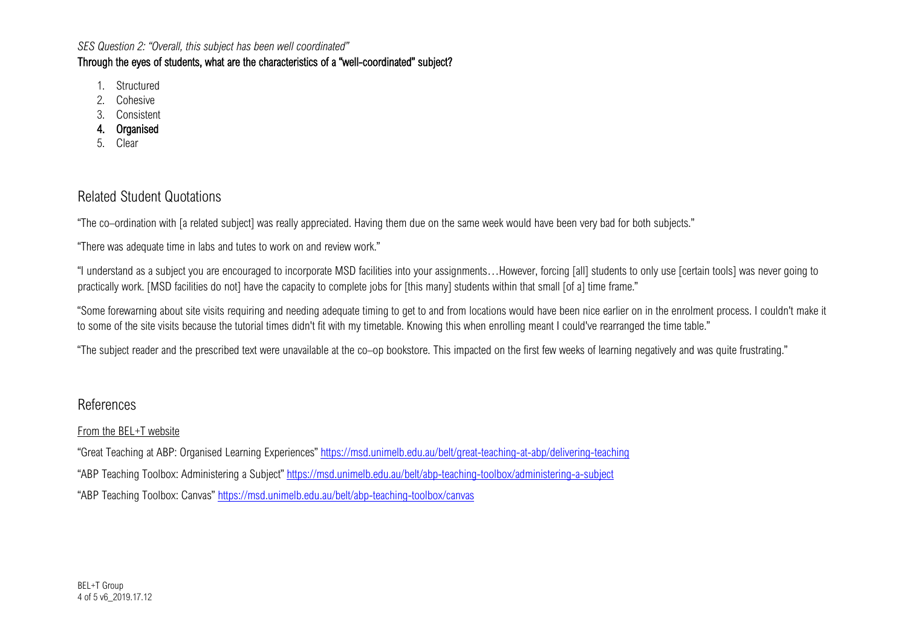## Through the eyes of students, what are the characteristics of a "well-coordinated" subject?

- 1. Structured
- 2. Cohesive
- 3. Consistent
- 4. Organised
- 5. Clear

# Related Student Quotations

"The co–ordination with [a related subject] was really appreciated. Having them due on the same week would have been very bad for both subjects."

"There was adequate time in labs and tutes to work on and review work."

"I understand as a subject you are encouraged to incorporate MSD facilities into your assignments…However, forcing [all] students to only use [certain tools] was never going to practically work. [MSD facilities do not] have the capacity to complete jobs for [this many] students within that small [of a] time frame."

"Some forewarning about site visits requiring and needing adequate timing to get to and from locations would have been nice earlier on in the enrolment process. I couldn't make it to some of the site visits because the tutorial times didn't fit with my timetable. Knowing this when enrolling meant I could've rearranged the time table."

"The subject reader and the prescribed text were unavailable at the co–op bookstore. This impacted on the first few weeks of learning negatively and was quite frustrating."

## References

### From the BEL+T website

"Great Teaching at ABP: Organised Learning Experiences[" https://msd.unimelb.edu.au/belt/great-teaching-at-abp/delivering-teaching](https://msd.unimelb.edu.au/belt/great-teaching-at-abp/delivering-teaching) "ABP Teaching Toolbox: Administering a Subject"<https://msd.unimelb.edu.au/belt/abp-teaching-toolbox/administering-a-subject> "ABP Teaching Toolbox: Canvas"<https://msd.unimelb.edu.au/belt/abp-teaching-toolbox/canvas>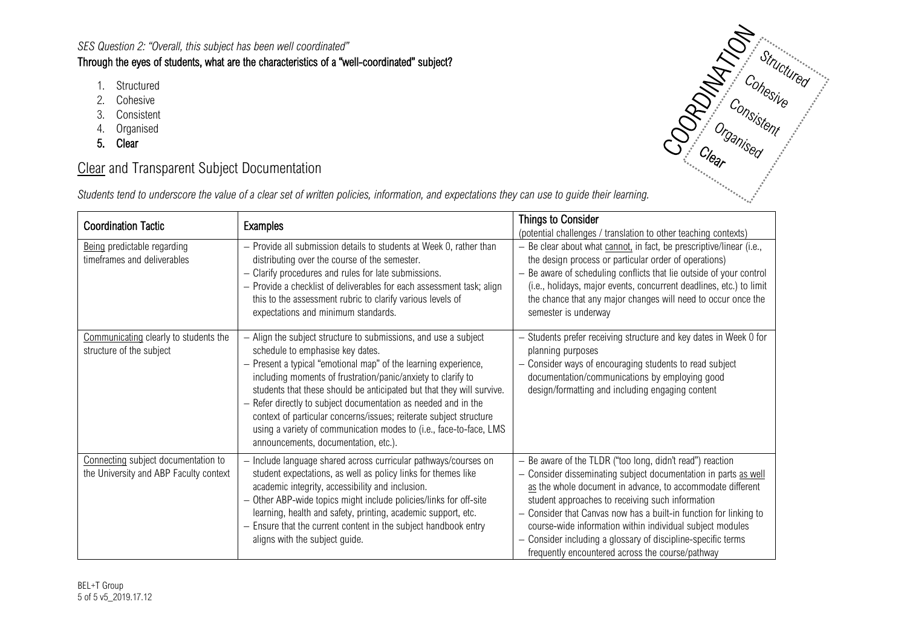## Through the eyes of students, what are the characteristics of a "well-coordinated" subject?

- 1. Structured
- 2. Cohesive
- 3. Consistent
- 4. Organised
- 5. Clear

# **Clear** and Transparent Subject Documentation

| Students tend to underscore the value of a clear set of written policies, information, and expectations they can use to guide their learning. |  |  |  |
|-----------------------------------------------------------------------------------------------------------------------------------------------|--|--|--|
|-----------------------------------------------------------------------------------------------------------------------------------------------|--|--|--|

| <b>Coordination Tactic</b>                                                    | <b>Examples</b>                                                                                                                                                                                                                                                                                                                                                                                                                                                                                                                                                     | <b>Things to Consider</b><br>(potential challenges / translation to other teaching contexts)                                                                                                                                                                                                                                                                                                                                                                                                                                                                                     |
|-------------------------------------------------------------------------------|---------------------------------------------------------------------------------------------------------------------------------------------------------------------------------------------------------------------------------------------------------------------------------------------------------------------------------------------------------------------------------------------------------------------------------------------------------------------------------------------------------------------------------------------------------------------|----------------------------------------------------------------------------------------------------------------------------------------------------------------------------------------------------------------------------------------------------------------------------------------------------------------------------------------------------------------------------------------------------------------------------------------------------------------------------------------------------------------------------------------------------------------------------------|
| Being predictable regarding<br>timeframes and deliverables                    | - Provide all submission details to students at Week 0, rather than<br>distributing over the course of the semester.<br>- Clarify procedures and rules for late submissions.<br>- Provide a checklist of deliverables for each assessment task; align<br>this to the assessment rubric to clarify various levels of<br>expectations and minimum standards.                                                                                                                                                                                                          | - Be clear about what cannot, in fact, be prescriptive/linear (i.e.,<br>the design process or particular order of operations)<br>Be aware of scheduling conflicts that lie outside of your control<br>(i.e., holidays, major events, concurrent deadlines, etc.) to limit<br>the chance that any major changes will need to occur once the<br>semester is underway                                                                                                                                                                                                               |
| Communicating clearly to students the<br>structure of the subject             | - Align the subject structure to submissions, and use a subject<br>schedule to emphasise key dates.<br>- Present a typical "emotional map" of the learning experience,<br>including moments of frustration/panic/anxiety to clarify to<br>students that these should be anticipated but that they will survive.<br>Refer directly to subject documentation as needed and in the<br>context of particular concerns/issues; reiterate subject structure<br>using a variety of communication modes to (i.e., face-to-face, LMS<br>announcements, documentation, etc.). | - Students prefer receiving structure and key dates in Week 0 for<br>planning purposes<br>Consider ways of encouraging students to read subject<br>$\overline{\phantom{0}}$<br>documentation/communications by employing good<br>design/formatting and including engaging content                                                                                                                                                                                                                                                                                                |
| Connecting subject documentation to<br>the University and ABP Faculty context | - Include language shared across curricular pathways/courses on<br>student expectations, as well as policy links for themes like<br>academic integrity, accessibility and inclusion.<br>Other ABP-wide topics might include policies/links for off-site<br>learning, health and safety, printing, academic support, etc.<br>- Ensure that the current content in the subject handbook entry<br>aligns with the subject guide.                                                                                                                                       | Be aware of the TLDR ("too long, didn't read") reaction<br>$\overline{\phantom{0}}$<br>Consider disseminating subject documentation in parts as well<br>$\overline{\phantom{0}}$<br>as the whole document in advance, to accommodate different<br>student approaches to receiving such information<br>Consider that Canvas now has a built-in function for linking to<br>course-wide information within individual subject modules<br>Consider including a glossary of discipline-specific terms<br>$\overline{\phantom{0}}$<br>frequently encountered across the course/pathway |